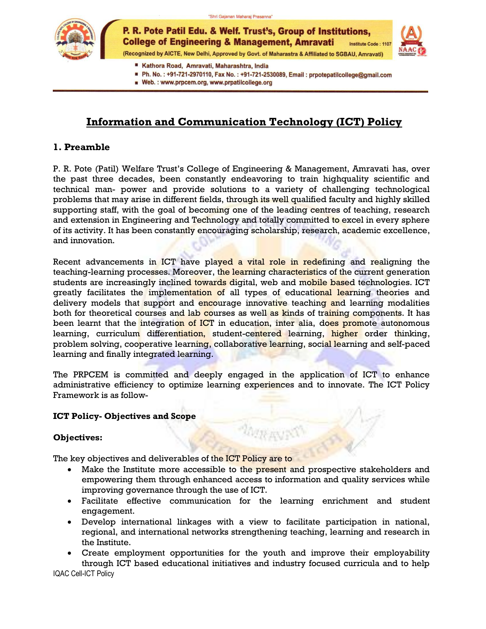

P. R. Pote Patil Edu. & Welf. Trust's, Group of Institutions, **College of Engineering & Management, Amravati Institute Code: 110** (Recognized by AICTE, New Delhi, Approved by Govt. of Maharastra & Affiliated to SGBAU, Amravati)



- Kathora Road, Amravati, Maharashtra, India
- Ph. No.: +91-721-2970110, Fax No.: +91-721-2530089, Email: prpotepatilcollege@gmail.com
- Web.: www.prpcem.org, www.prpatilcollege.org

## **Information and Communication Technology (ICT) Policy**

### **1. Preamble**

P. R. Pote (Patil) Welfare Trust's College of Engineering & Management, Amravati has, over the past three decades, been constantly endeavoring to train highquality scientific and technical man- power and provide solutions to a variety of challenging technological problems that may arise in different fields, through its well qualified faculty and highly skilled supporting staff, with the goal of becoming one of the leading centres of teaching, research and extension in Engineering and Technology and totally committed to excel in every sphere of its activity. It has been constantly encouraging scholarship, research, academic excellence, and innovation.

Recent advancements in ICT have played a vital role in redefining and realigning the teaching-learning processes. Moreover, the learning characteristics of the current generation students are increasingly inclined towards digital, web and mobile based technologies. ICT greatly facilitates the implementation of all types of educational learning theories and delivery models that support and encourage innovative teaching and learning modalities both for theoretical courses and lab courses as well as kinds of training components. It has been learnt that the integration of ICT in education, inter alia, does promote autonomous learning, curriculum differentiation, student-centered learning, higher order thinking, problem solving, cooperative learning, collaborative learning, social learning and self-paced learning and finally integrated learning.

The PRPCEM is committed and deeply engaged in the application of ICT to enhance administrative efficiency to optimize learning experiences and to innovate. The ICT Policy Framework is as follow-

### **ICT Policy- Objectives and Scope**

### **Objectives:**

The key objectives and deliverables of the ICT Policy are to

- Make the Institute more accessible to the present and prospective stakeholders and empowering them through enhanced access to information and quality services while improving governance through the use of ICT.
- Facilitate effective communication for the learning enrichment and student engagement.
- Develop international linkages with a view to facilitate participation in national, regional, and international networks strengthening teaching, learning and research in the Institute.
- IQAC Cell-ICT Policy Create employment opportunities for the youth and improve their employability through ICT based educational initiatives and industry focused curricula and to help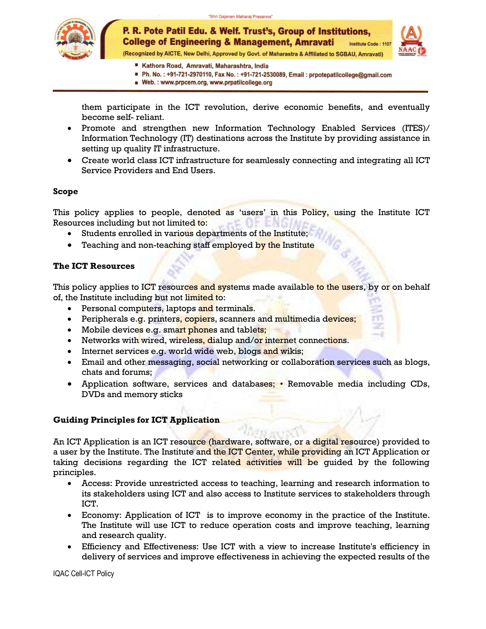

(Recognized by AICTE, New Delhi, Approved by Govt. of Maharastra & Affiliated to SGBAU, Amravati)



- Kathora Road, Amravati, Maharashtra, India
- Ph. No.: +91-721-2970110, Fax No.: +91-721-2530089, Email: prpotepatilcollege@gmail.com
- Web.: www.prpcem.org, www.prpatilcollege.org

them participate in the ICT revolution, derive economic benefits, and eventually become self- reliant.

- Promote and strengthen new Information Technology Enabled Services (ITES)/ Information Technology (IT) destinations across the Institute by providing assistance in setting up quality IT infrastructure.
- Create world class ICT infrastructure for seamlessly connecting and integrating all ICT Service Providers and End Users.

### **Scope**

This policy applies to people, denoted as 'users' in this Policy, using the Institute ICT Resources including but not limited to: IE-ENG

- Students enrolled in various departments of the Institute;
- Teaching and non-teaching staff employed by the Institute

### **The ICT Resources**

This policy applies to ICT resources and systems made available to the users, by or on behalf of, the Institute including but not limited to:

- **•** Personal computers, laptops and terminals.
- Peripherals e.g. printers, copiers, scanners and multimedia devices;
- Mobile devices e.g. smart phones and tablets;
- Networks with wired, wireless, dialup and/or internet connections.
- Internet services e.g. world wide web, blogs and wikis;
- Email and other messaging, social networking or collaboration services such as blogs, chats and forums;
- Application software, services and databases; Removable media including CDs, DVDs and memory sticks

### **Guiding Principles for ICT Application**

An ICT Application is an ICT resource (hardware, software, or a digital resource) provided to a user by the Institute. The Institute and the ICT Center, while providing an ICT Application or taking decisions regarding the ICT related activities will be guided by the following principles.

- Access: Provide unrestricted access to teaching, learning and research information to its stakeholders using ICT and also access to Institute services to stakeholders through ICT.
- Economy: Application of ICT is to improve economy in the practice of the Institute. The Institute will use ICT to reduce operation costs and improve teaching, learning and research quality.
- Efficiency and Effectiveness: Use ICT with a view to increase Institute's efficiency in delivery of services and improve effectiveness in achieving the expected results of the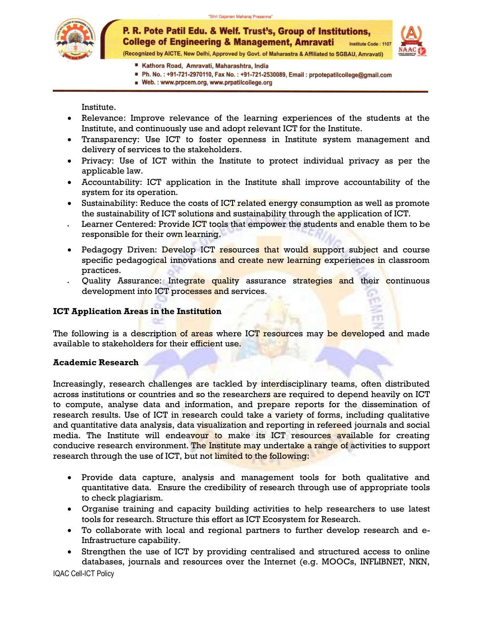

(Recognized by AICTE, New Delhi, Approved by Govt. of Maharastra & Affiliated to SGBAU, Amravati)

- Kathora Road, Amravati, Maharashtra, India
- Ph. No.: +91-721-2970110, Fax No.: +91-721-2530089, Email: prpotepatilcollege@gmail.com
- Web.: www.prpcem.org, www.prpatilcollege.org

Institute.

- Relevance: Improve relevance of the learning experiences of the students at the Institute, and continuously use and adopt relevant ICT for the Institute.
- Transparency: Use ICT to foster openness in Institute system management and delivery of services to the stakeholders.
- Privacy: Use of ICT within the Institute to protect individual privacy as per the applicable law.
- Accountability: ICT application in the Institute shall improve accountability of the system for its operation.
- Sustainability: Reduce the costs of ICT related energy consumption as well as promote the sustainability of ICT solutions and sustainability through the application of ICT.
- Learner Centered: Provide ICT tools that empower the students and enable them to be responsible for their own learning.
- Pedagogy Driven: Develop ICT resources that would support subject and course specific pedagogical innovations and create new learning experiences in classroom practices.
- Quality Assurance: Integrate quality assurance strategies and their continuous development into ICT processes and services.

### **ICT Application Areas in the Institution**

The following is a description of areas where ICT resources may be developed and made available to stakeholders for their efficient use.

### **Academic Research**

Increasingly, research challenges are tackled by interdisciplinary teams, often distributed across institutions or countries and so the researchers are required to depend heavily on ICT to compute, analyse data and information, and prepare reports for the dissemination of research results. Use of ICT in research could take a variety of forms, including qualitative and quantitative data analysis, data visualization and reporting in refereed journals and social media. The Institute will endeavour to make its ICT resources available for creating conducive research environment. The Institute may undertake a range of activities to support research through the use of ICT, but not limited to the following:

- Provide data capture, analysis and management tools for both qualitative and quantitative data. Ensure the credibility of research through use of appropriate tools to check plagiarism.
- Organise training and capacity building activities to help researchers to use latest tools for research. Structure this effort as ICT Ecosystem for Research.
- To collaborate with local and regional partners to further develop research and e-Infrastructure capability.
- Strengthen the use of ICT by providing centralised and structured access to online databases, journals and resources over the Internet (e.g. MOOCs, INFLIBNET, NKN,

IQAC Cell-ICT Policy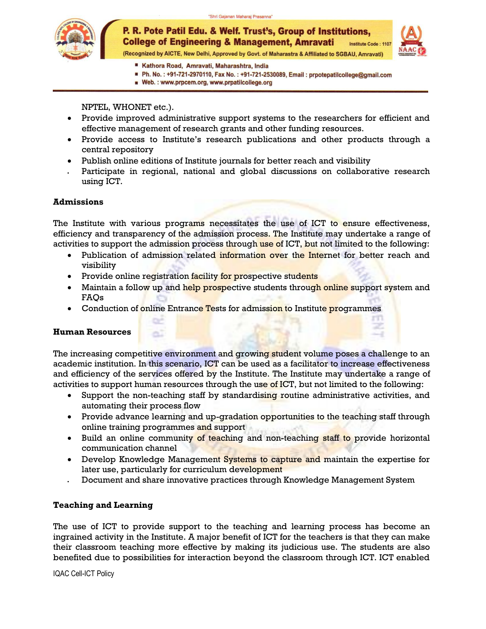

(Recognized by AICTE, New Delhi, Approved by Govt. of Maharastra & Affiliated to SGBAU, Amravati)

- Kathora Road, Amravati, Maharashtra, India
- Ph. No.: +91-721-2970110, Fax No.: +91-721-2530089, Email: prpotepatilcollege@gmail.com
- Web.: www.prpcem.org, www.prpatilcollege.org

NPTEL, WHONET etc.).

- Provide improved administrative support systems to the researchers for efficient and effective management of research grants and other funding resources.
- Provide access to Institute's research publications and other products through a central repository
- Publish online editions of Institute journals for better reach and visibility
- Participate in regional, national and global discussions on collaborative research using ICT.

### **Admissions**

The Institute with various programs necessitates the use of ICT to ensure effectiveness, efficiency and transparency of the admission process. The Institute may undertake a range of activities to support the admission process through use of ICT, but not limited to the following:

- Publication of admission related information over the Internet for better reach and visibility
- Provide online registration facility for prospective students

Жĭ

- Maintain a follow up and help prospective students through online support system and FAQs
- Conduction of online Entrance Tests for admission to Institute programmes

### **Human Resources**

The increasing competitive environment and growing student volume poses a challenge to an academic institution. In this scenario, ICT can be used as a facilitator to increase effectiveness and efficiency of the services offered by the Institute. The Institute may undertake a range of activities to support human resources through the use of ICT, but not limited to the following:

- Support the non-teaching staff by standardising routine administrative activities, and automating their process flow
- Provide advance learning and up-gradation opportunities to the teaching staff through online training programmes and support
- Build an online community of teaching and non-teaching staff to provide horizontal communication channel
- Develop Knowledge Management Systems to capture and maintain the expertise for later use, particularly for curriculum development
- Document and share innovative practices through Knowledge Management System

### **Teaching and Learning**

The use of ICT to provide support to the teaching and learning process has become an ingrained activity in the Institute. A major benefit of ICT for the teachers is that they can make their classroom teaching more effective by making its judicious use. The students are also benefited due to possibilities for interaction beyond the classroom through ICT. ICT enabled

IQAC Cell-ICT Policy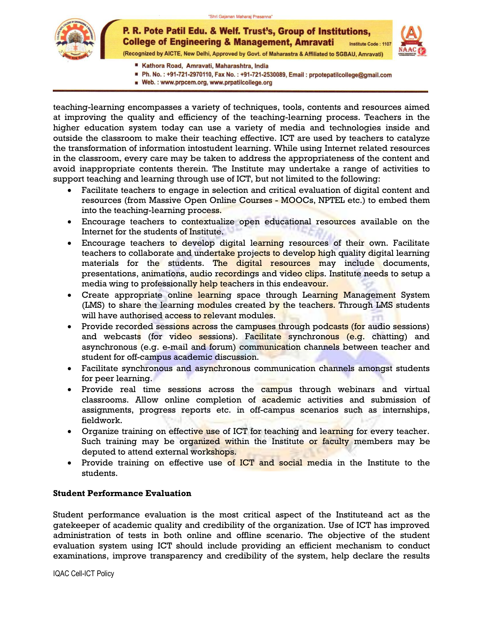

(Recognized by AICTE, New Delhi, Approved by Govt. of Maharastra & Affiliated to SGBAU, Amravati)

- Kathora Road, Amravati, Maharashtra, India
- Ph. No.: +91-721-2970110, Fax No.: +91-721-2530089, Email: prpotepatilcollege@gmail.com
- Web.: www.prpcem.org, www.prpatilcollege.org

teaching-learning encompasses a variety of techniques, tools, contents and resources aimed at improving the quality and efficiency of the teaching-learning process. Teachers in the higher education system today can use a variety of media and technologies inside and outside the classroom to make their teaching effective. ICT are used by teachers to catalyze the transformation of information intostudent learning. While using Internet related resources in the classroom, every care may be taken to address the appropriateness of the content and avoid inappropriate contents therein. The Institute may undertake a range of activities to support teaching and learning through use of ICT, but not limited to the following:

- Facilitate teachers to engage in selection and critical evaluation of digital content and resources (from Massive Open Online Courses - MOOCs, NPTEL etc.) to embed them into the teaching-learning process.
- **Encourage teachers to contextualize open educational resources available on the** Internet for the students of Institute.
- Encourage teachers to develop digital learning resources of their own. Facilitate teachers to collaborate and undertake projects to develop high quality digital learning materials for the students. The digital resources may include documents, presentations, animations, audio recordings and video clips. Institute needs to setup a media wing to professionally help teachers in this endeavour.
- Create appropriate online learning space through Learning Management System (LMS) to share the learning modules created by the teachers. Through LMS students will have authorised access to relevant modules.
- Provide recorded sessions across the campuses through podcasts (for audio sessions) and webcasts (for video sessions). Facilitate synchronous (e.g. chatting) and asynchronous (e.g. e-mail and forum) communication channels between teacher and student for off-campus academic discussion.
- Facilitate synchronous and asynchronous communication channels amongst students for peer learning.
- Provide real time sessions across the campus through webinars and virtual classrooms. Allow online completion of academic activities and submission of assignments, progress reports etc. in off-campus scenarios such as internships, fieldwork.
- Organize training on effective use of ICT for teaching and learning for every teacher. Such training may be organized within the Institute or faculty members may be deputed to attend external workshops.
- Provide training on effective use of ICT and social media in the Institute to the students.

### **Student Performance Evaluation**

Student performance evaluation is the most critical aspect of the Instituteand act as the gatekeeper of academic quality and credibility of the organization. Use of ICT has improved administration of tests in both online and offline scenario. The objective of the student evaluation system using ICT should include providing an efficient mechanism to conduct examinations, improve transparency and credibility of the system, help declare the results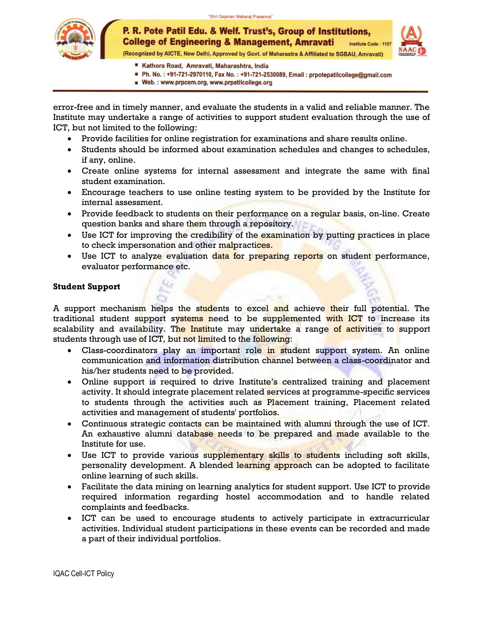

(Recognized by AICTE, New Delhi, Approved by Govt. of Maharastra & Affiliated to SGBAU, Amravati)

- Kathora Road, Amravati, Maharashtra, India
- Ph. No.: +91-721-2970110, Fax No.: +91-721-2530089, Email: prpotepatilcollege@gmail.com
- Web.: www.prpcem.org, www.prpatilcollege.org

error-free and in timely manner, and evaluate the students in a valid and reliable manner. The Institute may undertake a range of activities to support student evaluation through the use of ICT, but not limited to the following:

- Provide facilities for online registration for examinations and share results online.
- Students should be informed about examination schedules and changes to schedules, if any, online.
- Create online systems for internal assessment and integrate the same with final student examination.
- Encourage teachers to use online testing system to be provided by the Institute for internal assessment.
- Provide feedback to students on their performance on a regular basis, on-line. Create question banks and share them through a repository.
- Use ICT for improving the credibility of the examination by putting practices in place to check impersonation and other malpractices.
- Use ICT to analyze evaluation data for preparing reports on student performance, evaluator performance etc.

### **Student Support**

A support mechanism helps the students to excel and achieve their full potential. The traditional student support systems need to be supplemented with ICT to increase its scalability and availability. The Institute may undertake a range of activities to support students through use of ICT, but not limited to the following:

- Class-coordinators play an important role in student support system. An online communication and information distribution channel between a class-coordinator and his/her students need to be provided.
- Online support is required to drive Institute's centralized training and placement activity. It should integrate placement related services at programme-specific services to students through the activities such as Placement training, Placement related activities and management of students' portfolios.
- Continuous strategic contacts can be maintained with alumni through the use of ICT. An exhaustive alumni database needs to be prepared and made available to the Institute for use.
- Use ICT to provide various supplementary skills to students including soft skills, personality development. A blended learning approach can be adopted to facilitate online learning of such skills.
- Facilitate the data mining on learning analytics for student support. Use ICT to provide required information regarding hostel accommodation and to handle related complaints and feedbacks.
- ICT can be used to encourage students to actively participate in extracurricular activities. Individual student participations in these events can be recorded and made a part of their individual portfolios.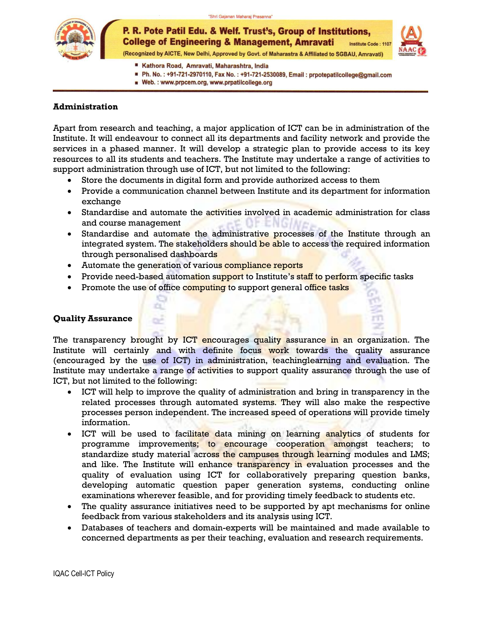"Shri Gajanan Maharaj Prasanna"



P. R. Pote Patil Edu. & Welf. Trust's, Group of Institutions, **College of Engineering & Management, Amravati** Institute Code: 1107 (Recognized by AICTE, New Delhi, Approved by Govt. of Maharastra & Affiliated to SGBAU, Amravati)

- Kathora Road, Amravati, Maharashtra, India
- Ph. No.: +91-721-2970110, Fax No.: +91-721-2530089, Email: prpotepatilcollege@gmail.com
- Web.: www.prpcem.org, www.prpatilcollege.org

### **Administration**

Apart from research and teaching, a major application of ICT can be in administration of the Institute. It will endeavour to connect all its departments and facility network and provide the services in a phased manner. It will develop a strategic plan to provide access to its key resources to all its students and teachers. The Institute may undertake a range of activities to support administration through use of ICT, but not limited to the following:

- Store the documents in digital form and provide authorized access to them
- Provide a communication channel between Institute and its department for information exchange
- Standardise and automate the activities involved in academic administration for class and course management
- Standardise and automate the administrative processes of the Institute through an integrated system. The stakeholders should be able to access the required information through personalised dashboards
- Automate the generation of various compliance reports
- Provide need-based automation support to Institute's staff to perform specific tasks
- Promote the use of office computing to support general office tasks

### **Quality Assurance**

The transparency brought by ICT encourages quality assurance in an organization. The Institute will certainly and with definite focus work towards the quality assurance (encouraged by the use of ICT) in administration, teachinglearning and evaluation. The Institute may undertake a range of activities to support quality assurance through the use of ICT, but not limited to the following:

- ICT will help to improve the quality of administration and bring in transparency in the related processes through automated systems. They will also make the respective processes person independent. The increased speed of operations will provide timely information.
- ICT will be used to facilitate data mining on learning analytics of students for programme improvements; to encourage cooperation amongst teachers; to standardize study material across the campuses through learning modules and LMS; and like. The Institute will enhance transparency in evaluation processes and the quality of evaluation using ICT for collaboratively preparing question banks, developing automatic question paper generation systems, conducting online examinations wherever feasible, and for providing timely feedback to students etc.
- The quality assurance initiatives need to be supported by apt mechanisms for online feedback from various stakeholders and its analysis using ICT.
- Databases of teachers and domain-experts will be maintained and made available to concerned departments as per their teaching, evaluation and research requirements.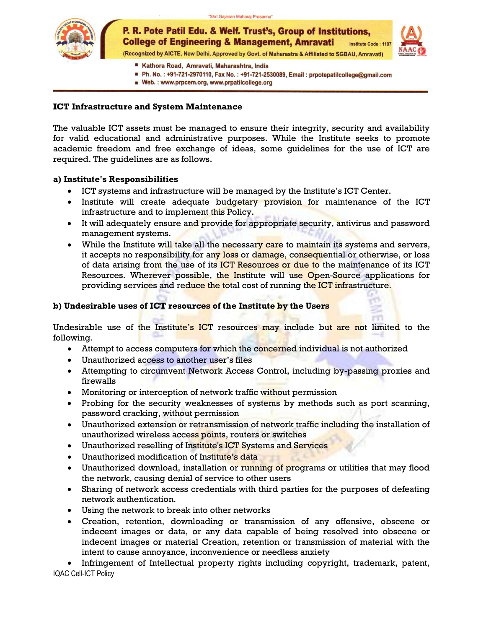



P. R. Pote Patil Edu. & Welf. Trust's, Group of Institutions, **College of Engineering & Management, Amravati Institute Code: 110** (Recognized by AICTE, New Delhi, Approved by Govt. of Maharastra & Affiliated to SGBAU, Amravati)

- Kathora Road, Amravati, Maharashtra, India
- Ph. No.: +91-721-2970110, Fax No.: +91-721-2530089, Email: prpotepatilcollege@gmail.com
- Web.: www.prpcem.org, www.prpatilcollege.org

### **ICT Infrastructure and System Maintenance**

The valuable ICT assets must be managed to ensure their integrity, security and availability for valid educational and administrative purposes. While the Institute seeks to promote academic freedom and free exchange of ideas, some guidelines for the use of ICT are required. The guidelines are as follows.

### **a) Institute's Responsibilities**

- ICT systems and infrastructure will be managed by the Institute's ICT Center.
- Institute will create adequate budgetary provision for maintenance of the ICT infrastructure and to implement this Policy.
- It will adequately ensure and provide for appropriate security, antivirus and password management systems.
- While the Institute will take all the necessary care to maintain its systems and servers, it accepts no responsibility for any loss or damage, consequential or otherwise, or loss of data arising from the use of its ICT Resources or due to the maintenance of its ICT Resources. Wherever possible, the Institute will use Open-Source applications for providing services and reduce the total cost of running the ICT infrastructure.

### **b) Undesirable uses of ICT resources of the Institute by the Users**

Undesirable use of the Institute's ICT resources may include but are not limited to the following.

- Attempt to access computers for which the concerned individual is not authorized
- Unauthorized access to another user's files
- Attempting to circumvent Network Access Control, including by-passing proxies and firewalls
- Monitoring or interception of network traffic without permission
- Probing for the security weaknesses of systems by methods such as port scanning, password cracking, without permission
- Unauthorized extension or retransmission of network traffic including the installation of unauthorized wireless access points, routers or switches
- Unauthorized reselling of Institute's ICT Systems and Services
- Unauthorized modification of Institute's data
- Unauthorized download, installation or running of programs or utilities that may flood the network, causing denial of service to other users
- Sharing of network access credentials with third parties for the purposes of defeating network authentication.
- Using the network to break into other networks
- Creation, retention, downloading or transmission of any offensive, obscene or indecent images or data, or any data capable of being resolved into obscene or indecent images or material Creation, retention or transmission of material with the intent to cause annoyance, inconvenience or needless anxiety

IQAC Cell-ICT Policy Infringement of Intellectual property rights including copyright, trademark, patent,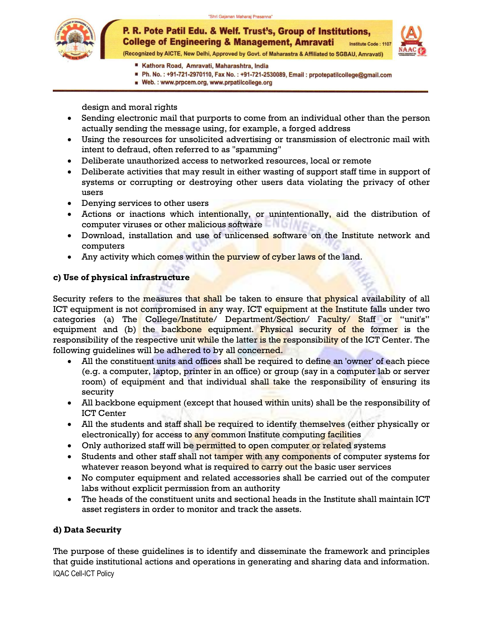

(Recognized by AICTE, New Delhi, Approved by Govt. of Maharastra & Affiliated to SGBAU, Amravati)

- Kathora Road, Amravati, Maharashtra, India
- Ph. No.: +91-721-2970110, Fax No.: +91-721-2530089, Email: prpotepatilcollege@gmail.com
- Web.: www.prpcem.org, www.prpatilcollege.org

design and moral rights

- Sending electronic mail that purports to come from an individual other than the person actually sending the message using, for example, a forged address
- Using the resources for unsolicited advertising or transmission of electronic mail with intent to defraud, often referred to as "spamming"
- Deliberate unauthorized access to networked resources, local or remote
- Deliberate activities that may result in either wasting of support staff time in support of systems or corrupting or destroying other users data violating the privacy of other users
- Denying services to other users
- Actions or inactions which intentionally, or unintentionally, aid the distribution of computer viruses or other malicious software
- Download, installation and use of unlicensed software on the Institute network and computers
- Any activity which comes within the purview of cyber laws of the land.

### **c) Use of physical infrastructure**

Security refers to the measures that shall be taken to ensure that physical availability of all ICT equipment is not compromised in any way. ICT equipment at the Institute falls under two categories (a) The College/Institute/ Department/Section/ Faculty/ Staff or "unit's" equipment and (b) the backbone equipment. Physical security of the former is the responsibility of the respective unit while the latter is the responsibility of the ICT Center. The following guidelines will be adhered to by all concerned.

- All the constituent units and offices shall be required to define an 'owner' of each piece (e.g. a computer, laptop, printer in an office) or group (say in a computer lab or server room) of equipment and that individual shall take the responsibility of ensuring its security
- All backbone equipment (except that housed within units) shall be the responsibility of ICT Center
- All the students and staff shall be required to identify themselves (either physically or electronically) for access to any common Institute computing facilities
- Only authorized staff will be permitted to open computer or related systems
- Students and other staff shall not tamper with any components of computer systems for whatever reason beyond what is required to carry out the basic user services
- No computer equipment and related accessories shall be carried out of the computer labs without explicit permission from an authority
- The heads of the constituent units and sectional heads in the Institute shall maintain ICT asset registers in order to monitor and track the assets.

### **d) Data Security**

IQAC Cell-ICT Policy The purpose of these guidelines is to identify and disseminate the framework and principles that guide institutional actions and operations in generating and sharing data and information.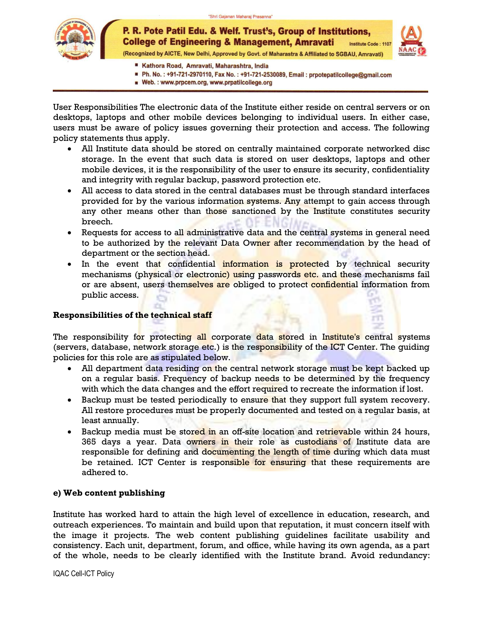

P. R. Pote Patil Edu. & Welf. Trust's, Group of Institutions, **College of Engineering & Management, Amravati** Institute Code: 1107 (Recognized by AICTE, New Delhi, Approved by Govt. of Maharastra & Affiliated to SGBAU, Amravati)



- Kathora Road, Amravati, Maharashtra, India
- Ph. No.: +91-721-2970110, Fax No.: +91-721-2530089, Email: prpotepatilcollege@gmail.com
- Web.: www.prpcem.org, www.prpatilcollege.org

User Responsibilities The electronic data of the Institute either reside on central servers or on desktops, laptops and other mobile devices belonging to individual users. In either case, users must be aware of policy issues governing their protection and access. The following policy statements thus apply.

- All Institute data should be stored on centrally maintained corporate networked disc storage. In the event that such data is stored on user desktops, laptops and other mobile devices, it is the responsibility of the user to ensure its security, confidentiality and integrity with regular backup, password protection etc.
- All access to data stored in the central databases must be through standard interfaces provided for by the various information systems. Any attempt to gain access through any other means other than those sanctioned by the Institute constitutes security breech.
- Requests for access to all administrative data and the central systems in general need to be authorized by the relevant Data Owner after recommendation by the head of department or the section head.
- In the event that confidential information is protected by technical security mechanisms (physical or electronic) using passwords etc. and these mechanisms fail or are absent, users themselves are obliged to protect confidential information from public access.

### **Responsibilities of the technical staff**

The responsibility for protecting all corporate data stored in Institute's central systems (servers, database, network storage etc.) is the responsibility of the ICT Center. The guiding policies for this role are as stipulated below.

- All department data residing on the central network storage must be kept backed up on a regular basis. Frequency of backup needs to be determined by the frequency with which the data changes and the effort required to recreate the information if lost.
- Backup must be tested periodically to ensure that they support full system recovery. All restore procedures must be properly documented and tested on a regular basis, at least annually.
- Backup media must be stored in an off-site location and retrievable within 24 hours, 365 days a year. Data owners in their role as custodians of Institute data are responsible for defining and documenting the length of time during which data must be retained. ICT Center is responsible for ensuring that these requirements are adhered to.

### **e) Web content publishing**

Institute has worked hard to attain the high level of excellence in education, research, and outreach experiences. To maintain and build upon that reputation, it must concern itself with the image it projects. The web content publishing guidelines facilitate usability and consistency. Each unit, department, forum, and office, while having its own agenda, as a part of the whole, needs to be clearly identified with the Institute brand. Avoid redundancy: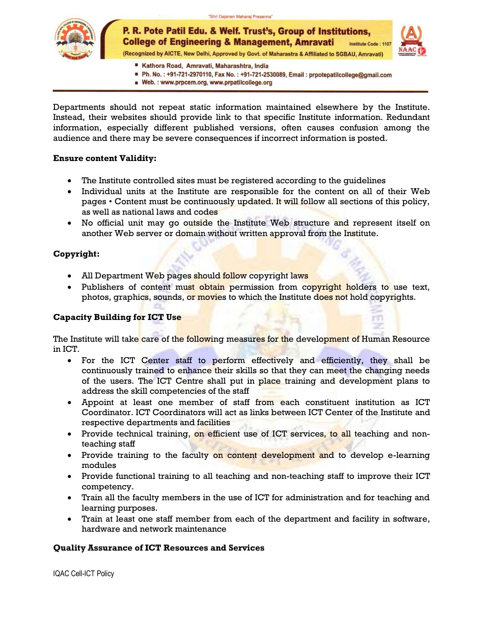





(Recognized by AICTE, New Delhi, Approved by Govt. of Maharastra & Affiliated to SGBAU, Amravati)

- Kathora Road, Amravati, Maharashtra, India
- Ph. No.: +91-721-2970110, Fax No.: +91-721-2530089, Email: prpotepatilcollege@gmail.com
- Web.: www.prpcem.org, www.prpatilcollege.org

Departments should not repeat static information maintained elsewhere by the Institute. Instead, their websites should provide link to that specific Institute information. Redundant information, especially different published versions, often causes confusion among the audience and there may be severe consequences if incorrect information is posted.

### **Ensure content Validity:**

- The Institute controlled sites must be registered according to the guidelines
- Individual units at the Institute are responsible for the content on all of their Web pages • Content must be continuously updated. It will follow all sections of this policy, as well as national laws and codes
- No official unit may go outside the Institute Web structure and represent itself on another Web server or domain without written approval from the Institute.

### **Copyright:**

- All Department Web pages should follow copyright laws
- Publishers of content must obtain permission from copyright holders to use text, photos, graphics, sounds, or movies to which the Institute does not hold copyrights.

### **Capacity Building for ICT Use**

The Institute will take care of the following measures for the development of Human Resource in ICT.

- For the ICT Center staff to perform effectively and efficiently, they shall be continuously trained to enhance their skills so that they can meet the changing needs of the users. The ICT Centre shall put in place training and development plans to address the skill competencies of the staff
- Appoint at least one member of staff from each constituent institution as ICT Coordinator. ICT Coordinators will act as links between ICT Center of the Institute and respective departments and facilities
- Provide technical training, on efficient use of ICT services, to all teaching and nonteaching staff
- Provide training to the faculty on content development and to develop e-learning modules
- Provide functional training to all teaching and non-teaching staff to improve their ICT competency.
- Train all the faculty members in the use of ICT for administration and for teaching and learning purposes.
- Train at least one staff member from each of the department and facility in software, hardware and network maintenance

### **Quality Assurance of ICT Resources and Services**

IQAC Cell-ICT Policy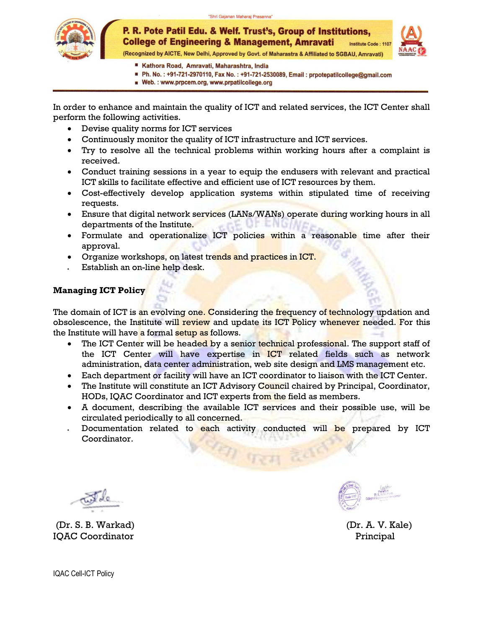



(Recognized by AICTE, New Delhi, Approved by Govt. of Maharastra & Affiliated to SGBAU, Amravati)

- Kathora Road, Amravati, Maharashtra, India
- Ph. No.: +91-721-2970110, Fax No.: +91-721-2530089, Email: prpotepatilcollege@gmail.com
- Web.: www.prpcem.org, www.prpatilcollege.org

In order to enhance and maintain the quality of ICT and related services, the ICT Center shall perform the following activities.

- Devise quality norms for ICT services
- Continuously monitor the quality of ICT infrastructure and ICT services.
- Try to resolve all the technical problems within working hours after a complaint is received.
- Conduct training sessions in a year to equip the endusers with relevant and practical ICT skills to facilitate effective and efficient use of ICT resources by them.
- Cost-effectively develop application systems within stipulated time of receiving requests.
- Ensure that digital network services (LANs/WANs) operate during working hours in all departments of the Institute.
- Formulate and operationalize ICT policies within a reasonable time after their approval.
- Organize workshops, on latest trends and practices in ICT.
- Establish an on-line help desk.

### **Managing ICT Policy**

The domain of ICT is an evolving one. Considering the frequency of technology updation and obsolescence, the Institute will review and update its ICT Policy whenever needed. For this the Institute will have a formal setup as follows.

- The ICT Center will be headed by a senior technical professional. The support staff of the ICT Center will have expertise in ICT related fields such as network administration, data center administration, web site design and LMS management etc.
- Each department or facility will have an ICT coordinator to liaison with the ICT Center.
- The Institute will constitute an ICT Advisory Council chaired by Principal, Coordinator, HODs, IQAC Coordinator and ICT experts from the field as members.
- A document, describing the available ICT services and their possible use, will be circulated periodically to all concerned.
- Documentation related to each activity conducted will be prepared by ICT Coordinator.

(Dr. S. B. Warkad) (Dr. A. V. Kale) IQAC Coordinator **Principal**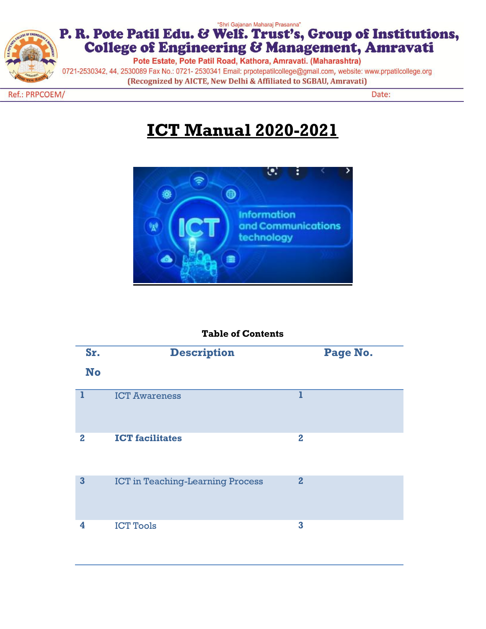

## "Shri Gajanan Maharaj Prasanna" P. R. Pote Patil Edu. & Welf. Trust's, Group of Institutions, College of Engineering & Management, Amravati

Pote Estate, Pote Patil Road, Kathora, Amravati. (Maharashtra)

0721-2530342, 44, 2530089 Fax No.: 0721- 2530341 Email: prpotepatilcollege@gmail.com, website: www.prpatilcollege.org (Recognized by AICTE, New Delhi & Affiliated to SGBAU, Amravati)

Ref.: PRPCOEM/

Date:

# **ICT Manual 2020-2021**



## **Table of Contents**

| Sr.<br><b>No</b>        | <b>Description</b>                      | Page No.       |  |
|-------------------------|-----------------------------------------|----------------|--|
| 1                       | <b>ICT Awareness</b>                    | ı              |  |
| $\bf{2}$                | <b>ICT</b> facilitates                  | $\bf{2}$       |  |
| $\overline{\mathbf{3}}$ | <b>ICT</b> in Teaching-Learning Process | $\overline{2}$ |  |
| 4                       | <b>ICT Tools</b>                        | 3              |  |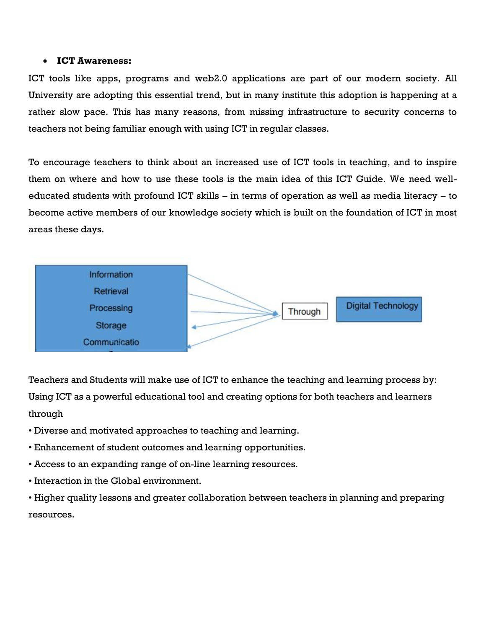### **ICT Awareness:**

ICT tools like apps, programs and web2.0 applications are part of our modern society. All University are adopting this essential trend, but in many institute this adoption is happening at a rather slow pace. This has many reasons, from missing infrastructure to security concerns to teachers not being familiar enough with using ICT in regular classes.

To encourage teachers to think about an increased use of ICT tools in teaching, and to inspire them on where and how to use these tools is the main idea of this ICT Guide. We need welleducated students with profound ICT skills – in terms of operation as well as media literacy – to become active members of our knowledge society which is built on the foundation of ICT in most areas these days.



Teachers and Students will make use of ICT to enhance the teaching and learning process by: Using ICT as a powerful educational tool and creating options for both teachers and learners through

- Diverse and motivated approaches to teaching and learning.
- Enhancement of student outcomes and learning opportunities.
- Access to an expanding range of on-line learning resources.
- Interaction in the Global environment.

• Higher quality lessons and greater collaboration between teachers in planning and preparing resources.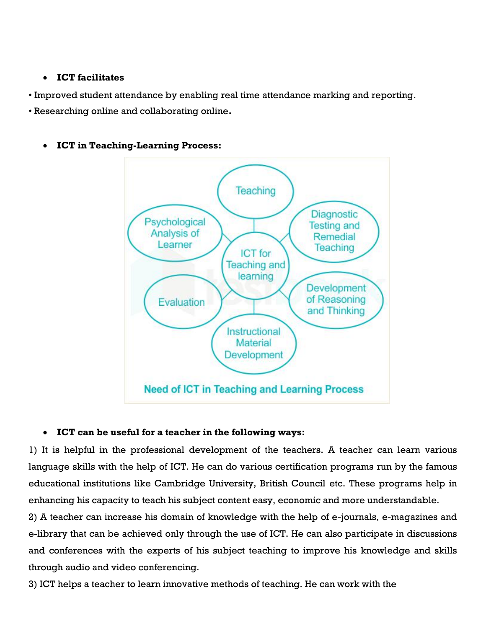## **ICT facilitates**

• Improved student attendance by enabling real time attendance marking and reporting.

• Researching online and collaborating online**.**



## **ICT in Teaching-Learning Process:**

## **ICT can be useful for a teacher in the following ways:**

1) It is helpful in the professional development of the teachers. A teacher can learn various language skills with the help of ICT. He can do various certification programs run by the famous educational institutions like Cambridge University, British Council etc. These programs help in enhancing his capacity to teach his subject content easy, economic and more understandable.

2) A teacher can increase his domain of knowledge with the help of e-journals, e-magazines and e-library that can be achieved only through the use of ICT. He can also participate in discussions and conferences with the experts of his subject teaching to improve his knowledge and skills through audio and video conferencing.

3) ICT helps a teacher to learn innovative methods of teaching. He can work with the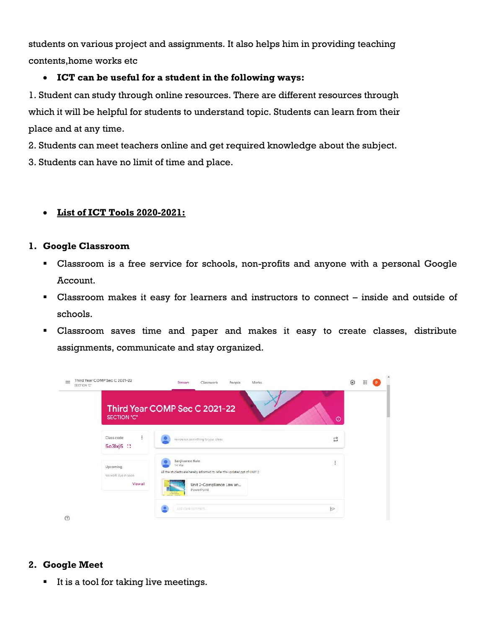students on various project and assignments. It also helps him in providing teaching contents,home works etc

## **ICT can be useful for a student in the following ways:**

1. Student can study through online resources. There are different resources through which it will be helpful for students to understand topic. Students can learn from their place and at any time.

2. Students can meet teachers online and get required knowledge about the subject.

3. Students can have no limit of time and place.

## **List of ICT Tools 2020-2021:**

## **1. Google Classroom**

- Classroom is a free service for schools, non-profits and anyone with a personal Google Account.
- Classroom makes it easy for learners and instructors to connect inside and outside of schools.
- Classroom saves time and paper and makes it easy to create classes, distribute assignments, communicate and stay organized.



## **2. Google Meet**

It is a tool for taking live meetings.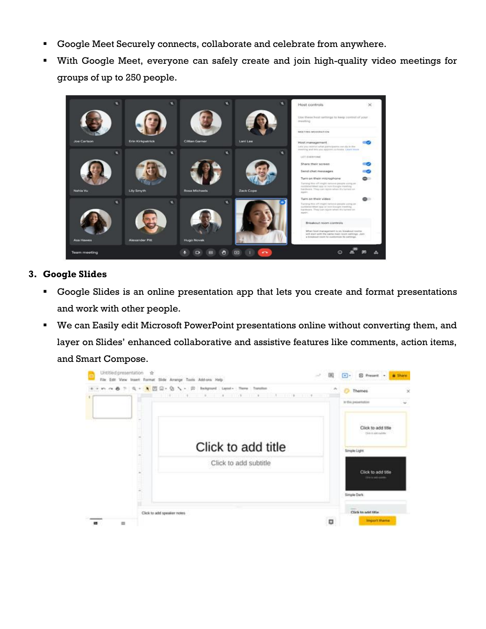- Google Meet Securely connects, collaborate and celebrate from anywhere.
- With Google Meet, everyone can safely create and join high-quality video meetings for groups of up to 250 people.



## **3. Google Slides**

- Google Slides is an online presentation app that lets you create and format presentations and work with other people.
- We can Easily edit Microsoft PowerPoint presentations online without converting them, and layer on Slides' enhanced collaborative and assistive features like comments, action items, and Smart Compose.

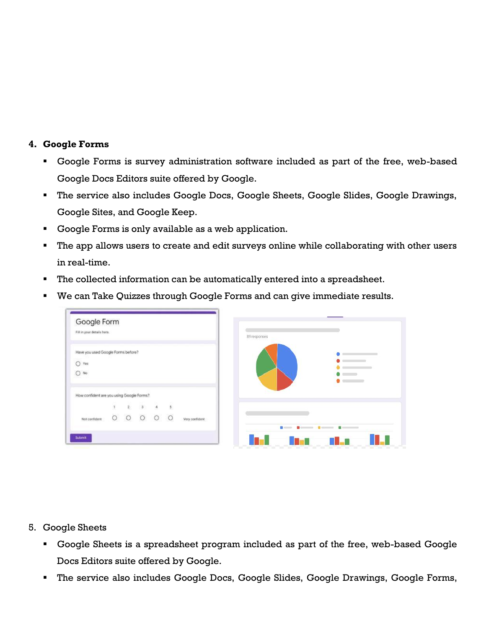### **4. Google Forms**

- Google Forms is survey administration software included as part of the free, web-based Google Docs Editors suite offered by Google.
- The service also includes Google Docs, Google Sheets, Google Slides, Google Drawings, Google Sites, and Google Keep.
- Google Forms is only available as a web application.
- The app allows users to create and edit surveys online while collaborating with other users in real-time.
- The collected information can be automatically entered into a spreadsheet.
- We can Take Quizzes through Google Forms and can give immediate results.



5. Google Sheets

- Google Sheets is a spreadsheet program included as part of the free, web-based Google Docs Editors suite offered by Google.
- The service also includes Google Docs, Google Slides, Google Drawings, Google Forms,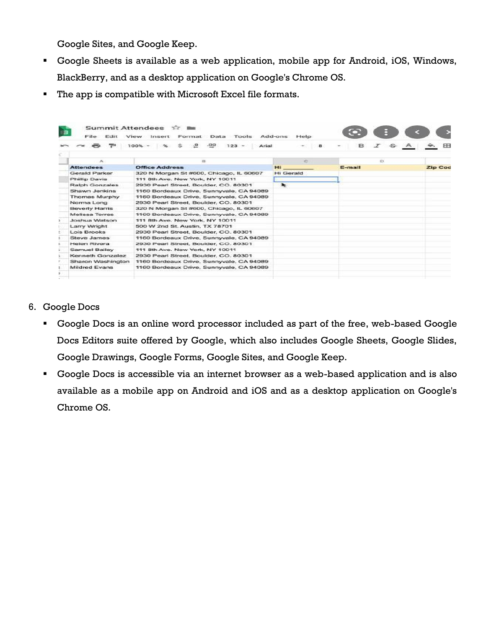Google Sites, and Google Keep.

- Google Sheets is available as a web application, mobile app for Android, iOS, Windows, BlackBerry, and as a desktop application on Google's Chrome OS.
- The app is compatible with Microsoft Excel file formats.

|   | File.<br>Felit        | Summit Attendees ☆ ■<br>Data Tools Add-ons<br>View Insert<br>Format | Help                 |           |                |
|---|-----------------------|---------------------------------------------------------------------|----------------------|-----------|----------------|
|   |                       | $\cdot$ o<br>.00 <sub>2</sub><br>$100% -$<br>s<br>$123 -$<br>Arial  |                      | <b>B.</b> |                |
| ĸ |                       |                                                                     |                      |           |                |
|   | ×                     | $\Xi$                                                               | C.                   | E3        |                |
|   | <b>Attendees</b>      | <b>Office Address</b>                                               | Hi .                 | E-mail    | <b>Zip Cod</b> |
|   | Gerald Parker         | 320 N Morgan St #600, Chicago, IL 60607                             | Hi Gerald            |           |                |
|   | Phillip Davis         | 111 8th Ave. New York, NY 10011                                     |                      |           |                |
|   | <b>Ralph Gonzales</b> | 2930 Pearl Street, Boulder, CO. 80301                               | $\ddot{\phantom{1}}$ |           |                |
|   | Shawn Jenkins         | 1160 Bordeaux Drive, Sunnyvale, CA 94089                            |                      |           |                |
|   | Thomas Murphy         | 1160 Bordeaux Drive, Sunnyvale, CA 94089                            |                      |           |                |
|   | Norma Long            | 2930 Pearl Street, Boulder, CO. 80301                               |                      |           |                |
|   | <b>Beverly Harris</b> | 320 N Morgan St #600, Chicago, IL 60607                             |                      |           |                |
|   | Melissa Torres        | 1160 Bordeaux Drive, Sunnyvale, CA 94089                            |                      |           |                |
|   | Joshua Watson         | 111 8th Ave. New York, NY 10011                                     |                      |           |                |
|   | Larry Wright          | 500 W 2nd St. Austin, TX 78701                                      |                      |           |                |
|   | Lois Brooks           | 2930 Pearl Street, Boulder, CO. 80301                               |                      |           |                |
|   | Steve James           | 1160 Bordeaux Drive, Sunnyvale, CA 94089                            |                      |           |                |
|   | Helen Rivera          | 2930 Pearl Street, Boulder, CO. 80301                               |                      |           |                |
|   | Samuel Bailey         | 111 8th Ave. New York, NY 10011                                     |                      |           |                |
|   | Kenneth Gonzalez      | 2930 Pearl Street, Boulder, CO. 80301                               |                      |           |                |
|   | Sharon Washington     | 1160 Bordeaux Drive, Sunnyvale, CA 94089                            |                      |           |                |
|   | Mildred Evans         | 1160 Bordeaux Drive, Sunnyvale, CA 94089                            |                      |           |                |
|   |                       |                                                                     |                      |           |                |
|   |                       |                                                                     |                      |           |                |

- 6. Google Docs
	- Google Docs is an online word processor included as part of the free, web-based Google Docs Editors suite offered by Google, which also includes Google Sheets, Google Slides, Google Drawings, Google Forms, Google Sites, and Google Keep.
	- Google Docs is accessible via an internet browser as a web-based application and is also available as a mobile app on Android and iOS and as a desktop application on Google's Chrome OS.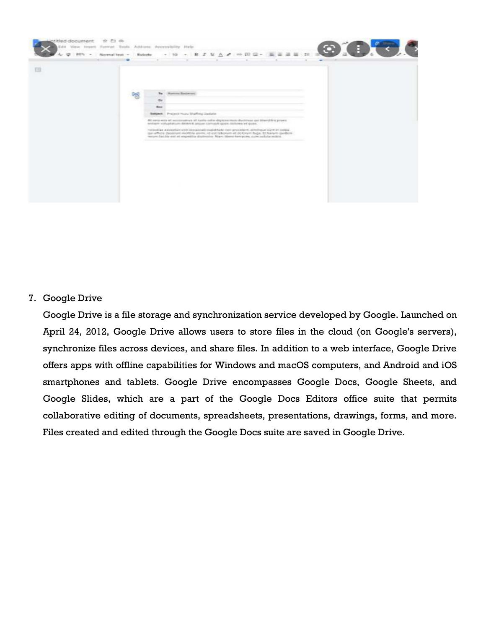

7. Google Drive

Google Drive is a file storage and synchronization service developed by Google. Launched on April 24, 2012, Google Drive allows users to store files in the cloud (on Google's servers), synchronize files across devices, and share files. In addition to a web interface, Google Drive offers apps with offline capabilities for Windows and macOS computers, and Android and iOS smartphones and tablets. Google Drive encompasses Google Docs, Google Sheets, and Google Slides, which are a part of the Google Docs Editors office suite that permits collaborative editing of documents, spreadsheets, presentations, drawings, forms, and more. Files created and edited through the Google Docs suite are saved in Google Drive.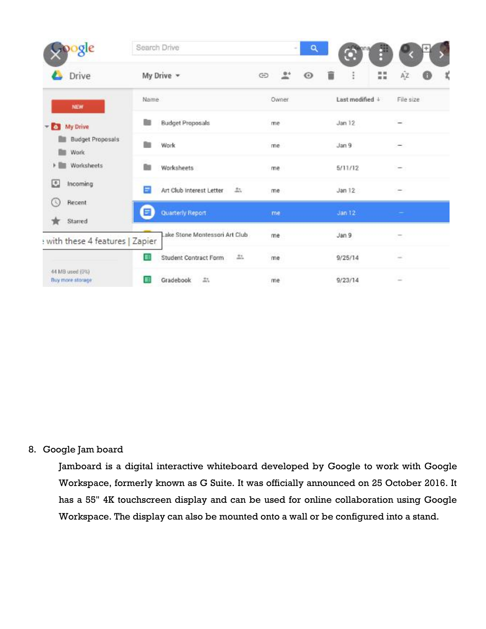| pogle                                        | Search Drive                   | ۹<br>$\sim$           | f<br>™Bona<br>$\bullet$ |                                            |
|----------------------------------------------|--------------------------------|-----------------------|-------------------------|--------------------------------------------|
| Drive                                        | My Drive -                     | GD<br>r<br>$^{\circ}$ | î<br>22                 | ΑŽ<br>x                                    |
| NEW                                          | Name.                          | Owner                 | Last modified $+$       | File size                                  |
| - My Drive                                   | <b>Budget Proposals</b>        | me                    | Jan 12                  |                                            |
| <b>Budget Proposals</b><br>m.<br><b>Work</b> | Work                           | me                    | Jan <sub>9</sub>        |                                            |
| Worksheets<br>r                              | Worksheets                     | me                    | 5/11/12                 |                                            |
| E<br>Incoming                                | Ξ<br>Art Club Interest Letter  | 盐<br>me               | Jan 12                  |                                            |
| Recent<br>Œ<br>Starred                       | Quarterly Report<br>۳          | me                    | Jan 12                  |                                            |
| with these 4 features   Zapier               | Lake Stone Montessori Art Club | me                    | Jan 9                   |                                            |
|                                              | 旧<br>Student Contract Form     | 2500<br>11.7<br>me    | 9/25/14                 | $\frac{1}{2} \left( \frac{1}{2} \right)^2$ |
| 44 MB used (0%)<br>Buy more storage          | 盐<br>Gradebook<br>Е            | me                    | 9/23/14                 | $\sim$                                     |

## 8. Google Jam board

Jamboard is a digital interactive whiteboard developed by Google to work with Google Workspace, formerly known as G Suite. It was officially announced on 25 October 2016. It has a 55" 4K touchscreen display and can be used for online collaboration using Google Workspace. The display can also be mounted onto a wall or be configured into a stand.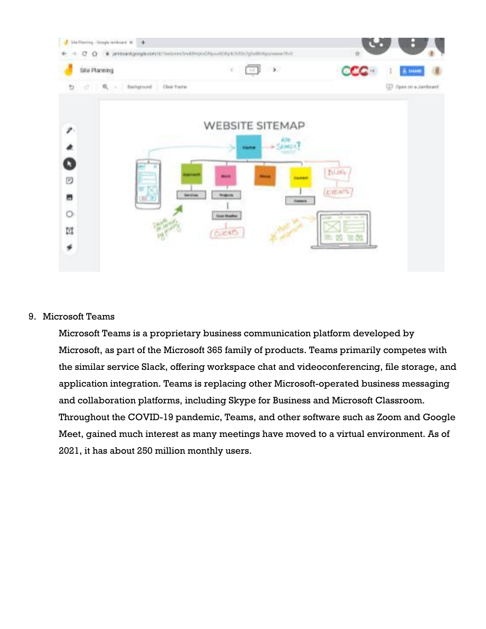

### 9. Microsoft Teams

Microsoft Teams is a proprietary business communication platform developed by Microsoft, as part of the Microsoft 365 family of products. Teams primarily competes with the similar service Slack, offering workspace chat and videoconferencing, file storage, and application integration. Teams is replacing other Microsoft-operated business messaging and collaboration platforms, including Skype for Business and Microsoft Classroom. Throughout the COVID-19 pandemic, Teams, and other software such as Zoom and Google Meet, gained much interest as many meetings have moved to a virtual environment. As of 2021, it has about 250 million monthly users.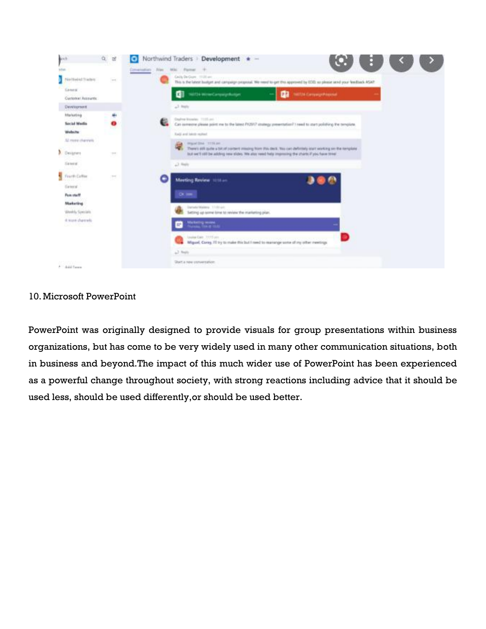

### 10.Microsoft PowerPoint

PowerPoint was originally designed to provide visuals for group presentations within business organizations, but has come to be very widely used in many other communication situations, both in business and beyond.The impact of this much wider use of PowerPoint has been experienced as a powerful change throughout society, with strong reactions including advice that it should be used less, should be used differently,or should be used better.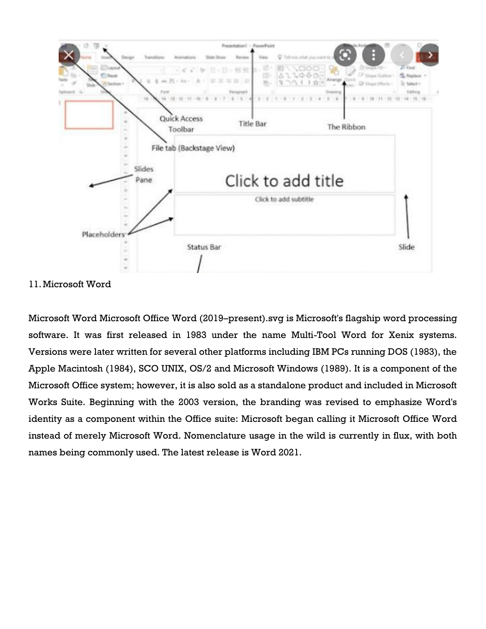

11.Microsoft Word

Microsoft Word Microsoft Office Word (2019–present).svg is Microsoft's flagship word processing software. It was first released in 1983 under the name Multi-Tool Word for Xenix systems. Versions were later written for several other platforms including IBM PCs running DOS (1983), the Apple Macintosh (1984), SCO UNIX, OS/2 and Microsoft Windows (1989). It is a component of the Microsoft Office system; however, it is also sold as a standalone product and included in Microsoft Works Suite. Beginning with the 2003 version, the branding was revised to emphasize Word's identity as a component within the Office suite: Microsoft began calling it Microsoft Office Word instead of merely Microsoft Word. Nomenclature usage in the wild is currently in flux, with both names being commonly used. The latest release is Word 2021.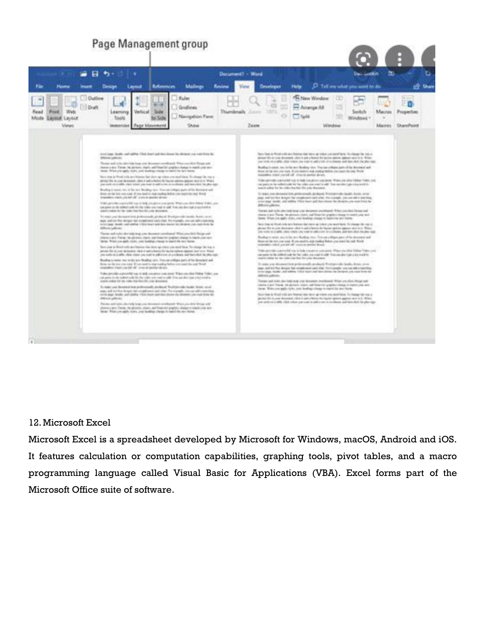## Page Management group



### 12.Microsoft Excel

Microsoft Excel is a spreadsheet developed by Microsoft for Windows, macOS, Android and iOS. It features calculation or computation capabilities, graphing tools, pivot tables, and a macro programming language called Visual Basic for Applications (VBA). Excel forms part of the Microsoft Office suite of software.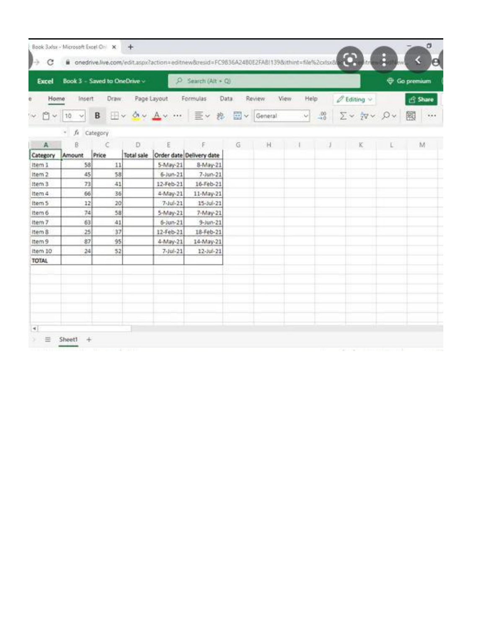| Excel                 |                   | Book 3 - Saved to OneDrive ~ |                        | $\circ$                                                  | Search $(Ait + Q)$             |    |                     |                     |              |                                                 | Go premium |  |
|-----------------------|-------------------|------------------------------|------------------------|----------------------------------------------------------|--------------------------------|----|---------------------|---------------------|--------------|-------------------------------------------------|------------|--|
| Home                  | Insert            | Draw                         |                        | Page Layout                                              | Formulas<br>Data               |    | Review              | <b>View</b><br>Help |              | $\mathscr{O}$ Editing $\sim$                    | Share      |  |
| 白<br>lov.<br>$\omega$ | 10<br>v           | B                            |                        | $\mathbb{H}\times\mathbb{A}\times\mathbb{A}\times\cdots$ | 三v 找                           |    | $\Box \lor$ General | $\backsim$          | $^{00}_{40}$ | $\Sigma \sim \frac{1}{2}V \times \Omega \times$ | 爾<br>111   |  |
|                       | fx<br>$W_{\perp}$ | Category                     |                        |                                                          |                                |    |                     |                     |              |                                                 |            |  |
| A<br>Category         | B<br>Amount       | C<br>Price                   | D<br><b>Total sale</b> | ε                                                        | E.<br>Order date Delivery date | G. | <b>H</b>            |                     |              | K.                                              | M          |  |
| Item 1                | 58                | 11                           |                        | 5-May-21                                                 | 8-May-21                       |    |                     |                     |              |                                                 |            |  |
| Item 2                | 45                | 58                           |                        | $6 - Jun - 21$                                           | $7-$ Jun-21                    |    |                     |                     |              |                                                 |            |  |
| Item 3                | 73                | 41                           |                        | 12-Feb-21                                                | 16-Feb-21                      |    |                     |                     |              |                                                 |            |  |
| Item 4                | 66                | 36                           |                        | 4-May-21                                                 | 11-May-21                      |    |                     |                     |              |                                                 |            |  |
| Item 5                | 12                | 20                           |                        | $7 - 10 - 21$                                            | $15 - 10 - 21$                 |    |                     |                     |              |                                                 |            |  |
| Item 6                | 74                | 58                           |                        | 5-May-21                                                 | 7-May-21                       |    |                     |                     |              |                                                 |            |  |
| Item 7                | 63                | 41                           |                        | $6 - 3u + 21$                                            | $9 -$ Jun $-21$                |    |                     |                     |              |                                                 |            |  |
| Item &                | 25                | 37                           |                        | 12-Feb-21                                                | 18-Feb-21                      |    |                     |                     |              |                                                 |            |  |
| Item 9                | 87                | 95                           |                        | 4-May-21                                                 | 14-May-21                      |    |                     |                     |              |                                                 |            |  |
| item 10               | 24                | 52                           |                        | $7 - 10 - 21$                                            | 12-Jul-21                      |    |                     |                     |              |                                                 |            |  |
| <b>TOTAL</b>          |                   |                              |                        |                                                          |                                |    |                     |                     |              |                                                 |            |  |
|                       |                   |                              |                        |                                                          |                                |    |                     |                     |              |                                                 |            |  |
|                       |                   |                              |                        |                                                          |                                |    |                     |                     |              |                                                 |            |  |
|                       |                   |                              |                        |                                                          |                                |    |                     |                     |              |                                                 |            |  |
|                       |                   |                              |                        |                                                          |                                |    |                     |                     |              |                                                 |            |  |
|                       |                   |                              |                        |                                                          |                                |    |                     |                     |              |                                                 |            |  |
|                       |                   |                              |                        |                                                          |                                |    |                     |                     |              |                                                 |            |  |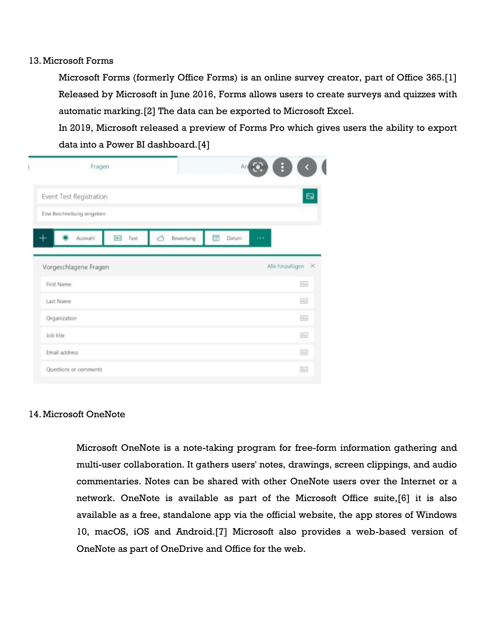### 13.Microsoft Forms

Microsoft Forms (formerly Office Forms) is an online survey creator, part of Office 365.[1] Released by Microsoft in June 2016, Forms allows users to create surveys and quizzes with automatic marking.[2] The data can be exported to Microsoft Excel.

In 2019, Microsoft released a preview of Forms Pro which gives users the ability to export data into a Power BI dashboard.[4]

|               | Fragen                     |                    |                | An          |                              |
|---------------|----------------------------|--------------------|----------------|-------------|------------------------------|
|               | Event Test Registration    |                    |                |             | Ø                            |
|               | Eine Beschreibung eingeben |                    |                |             |                              |
|               | Auswahl                    | <b>Abs</b><br>Text | Ó<br>Bewertung | ĊÓ<br>Datum | $\cdots$                     |
|               | Vorgeschlagene Fragen      |                    |                |             | Alle hinzufügen<br>$\propto$ |
|               |                            |                    |                |             |                              |
| First Name    |                            |                    |                |             | [Aim]                        |
| Last Name     |                            |                    |                |             | $[{\rm A}]$                  |
| Organization  |                            |                    |                |             | [Also]                       |
| Job title     |                            |                    |                |             | Ain.                         |
| Email address |                            |                    |                |             | $[{\rm AIV}]$                |

### 14.Microsoft OneNote

Microsoft OneNote is a note-taking program for free-form information gathering and multi-user collaboration. It gathers users' notes, drawings, screen clippings, and audio commentaries. Notes can be shared with other OneNote users over the Internet or a network. OneNote is available as part of the Microsoft Office suite,[6] it is also available as a free, standalone app via the official website, the app stores of Windows 10, macOS, iOS and Android.[7] Microsoft also provides a web-based version of OneNote as part of OneDrive and Office for the web.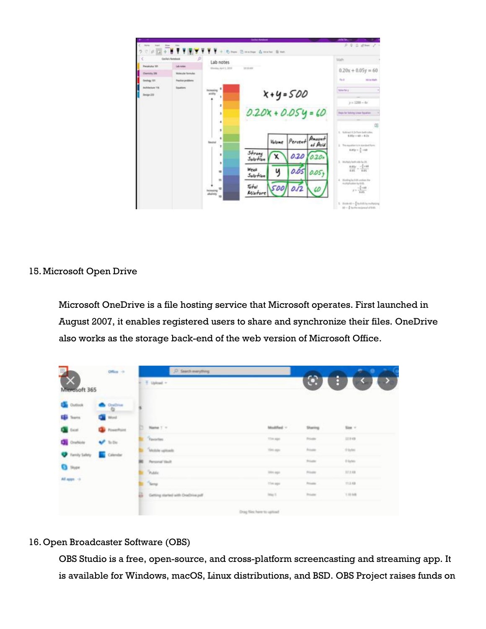

## 15.Microsoft Open Drive

Microsoft OneDrive is a file hosting service that Microsoft operates. First launched in August 2007, it enables registered users to share and synchronize their files. OneDrive also works as the storage back-end of the web version of Microsoft Office.

| III)                   | Office $\rightarrow$ | C Search merything               |                           |                 |                |                            |
|------------------------|----------------------|----------------------------------|---------------------------|-----------------|----------------|----------------------------|
| Mierosoft 365          |                      | $+$ 1pload $-$                   |                           |                 |                | $\mathbb{C}$ $\rightarrow$ |
| <b>Da</b> Outlook      | $\bullet$ against    |                                  |                           |                 |                |                            |
| <b>Egi Starra</b>      | <b>Call Word</b>     |                                  |                           |                 |                |                            |
| <b>Carl Entert</b>     | <b>D</b> Foreston    | Name 1 =                         |                           | Modified V      | Shering        | Size $-$                   |
| <b>Q</b> Owner         | $V$ to the           | <b>C.</b> Taxotes                |                           | This age        | <b>Private</b> | 22.843                     |
| <b>D</b> Family Safety | <b>Colendar</b>      | <b>Autor optionis</b>            |                           | <b>TOYS AGE</b> | <b>Private</b> | ti lodani                  |
| O Pore                 |                      | <b>BI</b> Personal Visult        |                           |                 | Private        | 0 liutes                   |
|                        |                      | <b>Public</b>                    |                           | little again    | Frisan         | 17.1.69.                   |
| All apps 10            |                      | <b><i>Seng</i></b>               |                           | <b>The age</b>  | Private:       | 11,5,438                   |
|                        |                      | Getting darked with OnaDrive.pdf |                           | <b>Stag S</b>   | Private        | 1.10 MW                    |
|                        |                      |                                  | Drag files have to uptual |                 |                |                            |

## 16.Open Broadcaster Software (OBS)

OBS Studio is a free, open-source, and cross-platform screencasting and streaming app. It is available for Windows, macOS, Linux distributions, and BSD. OBS Project raises funds on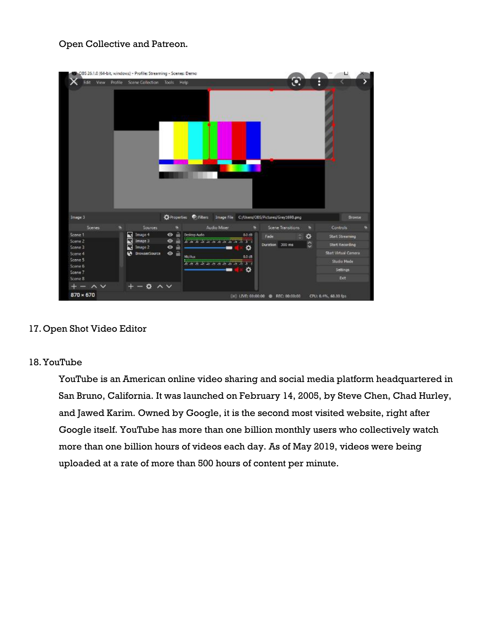## Open Collective and Patreon.

| <b>View</b><br>Edit                                 | Profile | Scene Collection              | Help<br>Tools:                   | $\odot$<br>E                                                                                  |                             |
|-----------------------------------------------------|---------|-------------------------------|----------------------------------|-----------------------------------------------------------------------------------------------|-----------------------------|
|                                                     |         |                               |                                  |                                                                                               |                             |
|                                                     |         |                               |                                  |                                                                                               |                             |
| Image 3                                             |         |                               |                                  | C Properties C: Filters Image File C:/Users/OBS/Pictures/Grey169B.png                         | <b>Browse</b>               |
| <b>Scenes</b>                                       |         | Sources                       | е                                | Audio Mixer<br>Scene Transitions<br>Controls<br>Е<br>÷                                        |                             |
|                                                     |         | 罖<br>Image 4                  | A<br>$\bullet$                   | Desktop Audio<br>B.D dB<br>٠<br>Fade<br>۰                                                     | <b>Start Streaming</b>      |
|                                                     |         | R<br>Image 3<br>Γ.<br>Image 2 | a<br>$\bullet$<br>a<br>$\bullet$ | <b>All and the second control of the second control of the second</b><br>¢<br>Duration 300 ms | <b>Start Recording</b>      |
|                                                     |         | <b>BrowserSource</b><br>ø     | $\bullet$ $\bullet$              | ٠                                                                                             | <b>Start Virtual Camera</b> |
| Scene 1<br>Scene 2<br>Scene 3<br>Scene 4<br>Scene 5 |         |                               |                                  | <b>NiciAux</b><br>0.0 cB                                                                      | <b>Studio Mode</b>          |
| Scene 6                                             |         |                               |                                  | <b>Analog of the terms of the original of the Case</b>                                        |                             |
| Scene 7<br>Scene 8                                  |         |                               |                                  | ۰                                                                                             | Settings<br>Exit            |

## 17.Open Shot Video Editor

### 18.YouTube

YouTube is an American online video sharing and social media platform headquartered in San Bruno, California. It was launched on February 14, 2005, by Steve Chen, Chad Hurley, and Jawed Karim. Owned by Google, it is the second most visited website, right after Google itself. YouTube has more than one billion monthly users who collectively watch more than one billion hours of videos each day. As of May 2019, videos were being uploaded at a rate of more than 500 hours of content per minute.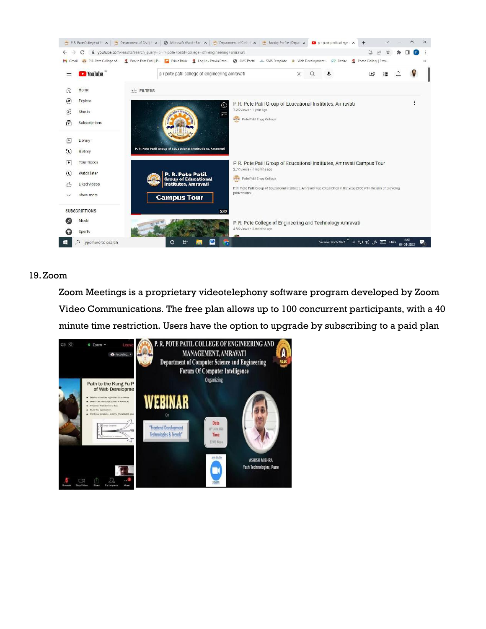

## 19.Zoom

Zoom Meetings is a proprietary videotelephony software program developed by Zoom Video Communications. The free plan allows up to 100 concurrent participants, with a 40 minute time restriction. Users have the option to upgrade by subscribing to a paid plan